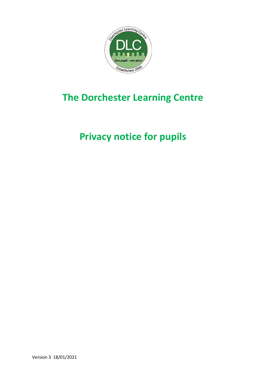

# **The Dorchester Learning Centre**

# **Privacy notice for pupils**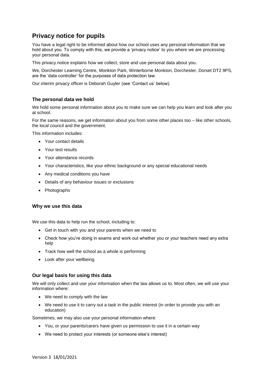# **Privacy notice for pupils**

You have a legal right to be informed about how our school uses any personal information that we hold about you. To comply with this, we provide a 'privacy notice' to you where we are processing your personal data.

This privacy notice explains how we collect, store and use personal data about you.

We, Dorchester Learning Centre, Monkton Park, Winterborne Monkton, Dorchester, Dorset DT2 9PS, are the 'data controller' for the purposes of data protection law.

Our interim privacy officer is Deborah Guyler (see 'Contact us' below).

# **The personal data we hold**

We hold some personal information about you to make sure we can help you learn and look after you at school.

For the same reasons, we get information about you from some other places too – like other schools, the local council and the government.

This information includes:

- Your contact details
- Your test results
- Your attendance records
- Your characteristics, like your ethnic background or any special educational needs
- Any medical conditions you have
- Details of any behaviour issues or exclusions
- Photographs

### **Why we use this data**

We use this data to help run the school, including to:

- Get in touch with you and your parents when we need to
- Check how you're doing in exams and work out whether you or your teachers need any extra help
- Track how well the school as a whole is performing
- Look after your wellbeing

### **Our legal basis for using this data**

We will only collect and use your information when the law allows us to. Most often, we will use your information where:

- We need to comply with the law
- We need to use it to carry out a task in the public interest (in order to provide you with an education)

Sometimes, we may also use your personal information where:

- You, or your parents/carers have given us permission to use it in a certain way
- We need to protect your interests (or someone else's interest)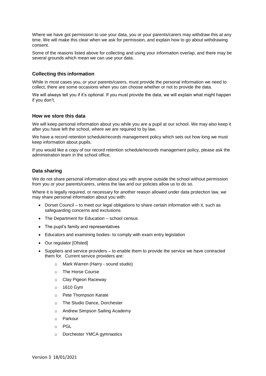Where we have got permission to use your data, you or your parents/carers may withdraw this at any time. We will make this clear when we ask for permission, and explain how to go about withdrawing consent.

Some of the reasons listed above for collecting and using your information overlap, and there may be several grounds which mean we can use your data.

## **Collecting this information**

While in most cases you, or your parents/carers, must provide the personal information we need to collect, there are some occasions when you can choose whether or not to provide the data.

We will always tell you if it's optional. If you must provide the data, we will explain what might happen if you don't.

#### **How we store this data**

We will keep personal information about you while you are a pupil at our school. We may also keep it after you have left the school, where we are required to by law.

We have a record retention schedule/records management policy which sets out how long we must keep information about pupils.

If you would like a copy of our record retention schedule/records management policy, please ask the administration team in the school office,

#### **Data sharing**

We do not share personal information about you with anyone outside the school without permission from you or your parents/carers, unless the law and our policies allow us to do so.

Where it is legally required, or necessary for another reason allowed under data protection law, we may share personal information about you with:

- Dorset Council to meet our legal obligations to share certain information with it, such as safeguarding concerns and exclusions
- The Department for Education school census
- The pupil's family and representatives
- Educators and examining bodies- to comply with exam entry legislation
- Our regulator [Ofsted]
- Suppliers and service providers to enable them to provide the service we have contracted them for. Current service providers are:
	- o Mark Warren (Harry sound studio)
	- o The Horse Course
	- o Clay Pigeon Raceway
	- o 1610 Gym
	- o Pete Thompson Karate
	- o The Studio Dance, Dorchester
	- o Andrew Simpson Sailing Academy
	- o Parkour
	- o PGL
	- o Dorchester YMCA gymnastics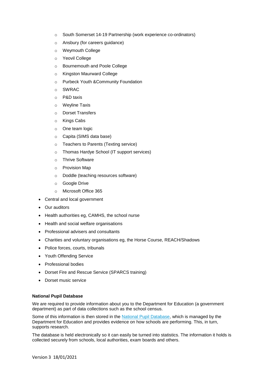- o South Somerset 14-19 Partnership (work experience co-ordinators)
- o Ansbury (for careers guidance)
- o Weymouth College
- o Yeovil College
- o Bournemouth and Poole College
- o Kingston Maurward College
- o Purbeck Youth &Community Foundation
- o SWRAC
- o P&D taxis
- o Weyline Taxis
- o Dorset Transfers
- o Kings Cabs
- o One team logic
- o Capita (SIMS data base)
- o Teachers to Parents (Texting service)
- o Thomas Hardye School (IT support services)
- o Thrive Software
- o Provision Map
- o Doddle (teaching resources software)
- o Google Drive
- o Microsoft Office 365
- Central and local government
- Our auditors
- Health authorities eg, CAMHS, the school nurse
- Health and social welfare organisations
- Professional advisers and consultants
- Charities and voluntary organisations eg, the Horse Course, REACH/Shadows
- Police forces, courts, tribunals
- Youth Offending Service
- Professional bodies
- Dorset Fire and Rescue Service (SPARCS training)
- Dorset music service

## **National Pupil Database**

We are required to provide information about you to the Department for Education (a government department) as part of data collections such as the school census.

Some of this information is then stored in the [National Pupil Database,](https://www.gov.uk/government/publications/national-pupil-database-user-guide-and-supporting-information) which is managed by the Department for Education and provides evidence on how schools are performing. This, in turn, supports research.

The database is held electronically so it can easily be turned into statistics. The information it holds is collected securely from schools, local authorities, exam boards and others.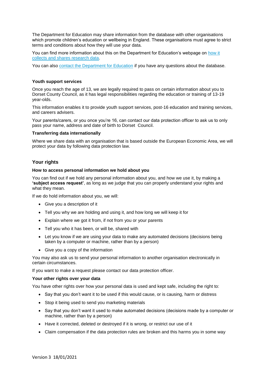The Department for Education may share information from the database with other organisations which promote children's education or wellbeing in England. These organisations must agree to strict terms and conditions about how they will use your data.

You can find more information about this on the Department for Education's webpage on [how it](https://www.gov.uk/data-protection-how-we-collect-and-share-research-data)  [collects and shares research data.](https://www.gov.uk/data-protection-how-we-collect-and-share-research-data)

You can also [contact the Department for Education](https://www.gov.uk/contact-dfe) if you have any questions about the database.

#### **Youth support services**

Once you reach the age of 13, we are legally required to pass on certain information about you to Dorset County Council, as it has legal responsibilities regarding the education or training of 13-19 year-olds.

This information enables it to provide youth support services, post-16 education and training services, and careers advisers.

Your parents/carers, or you once you're 16, can contact our data protection officer to ask us to only pass your name, address and date of birth to Dorset Council.

#### **Transferring data internationally**

Where we share data with an organisation that is based outside the European Economic Area, we will protect your data by following data protection law.

### **Your rights**

#### **How to access personal information we hold about you**

You can find out if we hold any personal information about you, and how we use it, by making a **'subject access request'**, as long as we judge that you can properly understand your rights and what they mean.

If we do hold information about you, we will:

- Give you a description of it
- Tell you why we are holding and using it, and how long we will keep it for
- Explain where we got it from, if not from you or your parents
- Tell you who it has been, or will be, shared with
- Let you know if we are using your data to make any automated decisions (decisions being taken by a computer or machine, rather than by a person)
- Give you a copy of the information

You may also ask us to send your personal information to another organisation electronically in certain circumstances.

If you want to make a request please contact our data protection officer.

#### **Your other rights over your data**

You have other rights over how your personal data is used and kept safe, including the right to:

- Say that you don't want it to be used if this would cause, or is causing, harm or distress
- Stop it being used to send you marketing materials
- Say that you don't want it used to make automated decisions (decisions made by a computer or machine, rather than by a person)
- Have it corrected, deleted or destroyed if it is wrong, or restrict our use of it
- Claim compensation if the data protection rules are broken and this harms you in some way